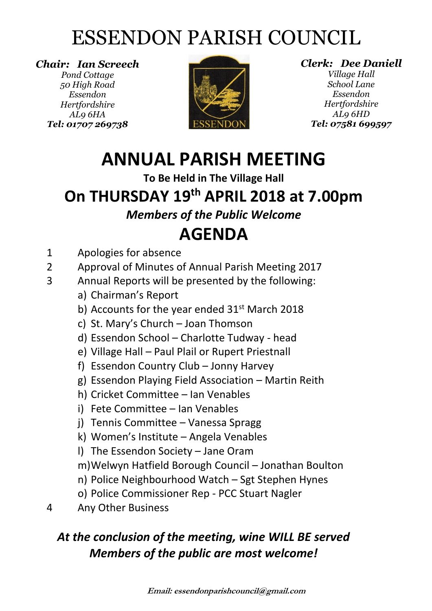## ESSENDON PARISH COUNCIL

*Chair: Ian Screech Pond Cottage 50 High Road Essendon Hertfordshire AL9 6HA Tel: 01707 269738*



*Clerk: Dee Daniell*

*Village Hall School Lane Essendon Hertfordshire AL9 6HD Tel: 07581 699597*

### **ANNUAL PARISH MEETING**

**To Be Held in The Village Hall**

#### **On THURSDAY 19th APRIL 2018 at 7.00pm**

#### *Members of the Public Welcome*

#### **AGENDA**

- 1 Apologies for absence
- 2 Approval of Minutes of Annual Parish Meeting 2017
- 3 Annual Reports will be presented by the following:
	- a) Chairman's Report
	- b) Accounts for the year ended 31<sup>st</sup> March 2018
	- c) St. Mary's Church Joan Thomson
	- d) Essendon School Charlotte Tudway head
	- e) Village Hall Paul Plail or Rupert Priestnall
	- f) Essendon Country Club Jonny Harvey
	- g) Essendon Playing Field Association Martin Reith
	- h) Cricket Committee Ian Venables
	- i) Fete Committee Ian Venables
	- j) Tennis Committee Vanessa Spragg
	- k) Women's Institute Angela Venables
	- l) The Essendon Society Jane Oram
	- m)Welwyn Hatfield Borough Council Jonathan Boulton
	- n) Police Neighbourhood Watch Sgt Stephen Hynes
	- o) Police Commissioner Rep PCC Stuart Nagler
- 4 Any Other Business

#### *At the conclusion of the meeting, wine WILL BE served Members of the public are most welcome!*

**Email: essendonparishcouncil@gmail.com**